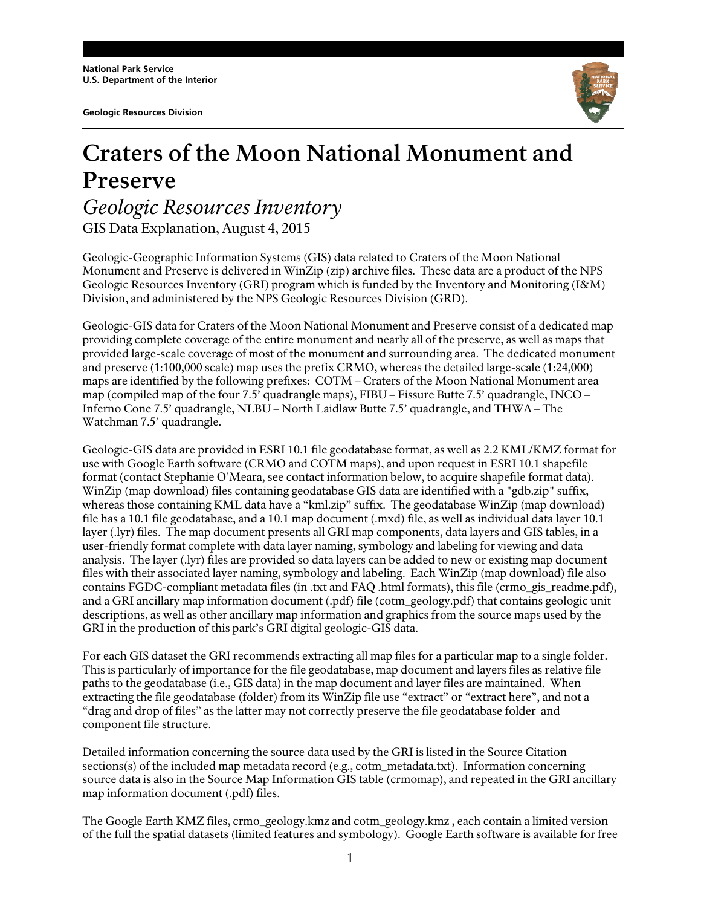**Geologic Resources Division** 



## **Craters of the Moon National Monument and Preserve** *Geologic Resources Inventory*

GIS Data Explanation, August 4, 2015

Geologic-Geographic Information Systems (GIS) data related to Craters of the Moon National Monument and Preserve is delivered in WinZip (zip) archive files. These data are a product of the NPS Geologic Resources Inventory (GRI) program which is funded by the Inventory and Monitoring (I&M) Division, and administered by the NPS Geologic Resources Division (GRD).

Geologic-GIS data for Craters of the Moon National Monument and Preserve consist of a dedicated map providing complete coverage of the entire monument and nearly all of the preserve, as well as maps that provided large-scale coverage of most of the monument and surrounding area. The dedicated monument and preserve (1:100,000 scale) map uses the prefix CRMO, whereas the detailed large-scale (1:24,000) maps are identified by the following prefixes: COTM – Craters of the Moon National Monument area map (compiled map of the four 7.5' quadrangle maps), FIBU – Fissure Butte 7.5' quadrangle, INCO – Inferno Cone 7.5' quadrangle, NLBU – North Laidlaw Butte 7.5' quadrangle, and THWA – The Watchman 7.5' quadrangle.

Geologic-GIS data are provided in ESRI 10.1 file geodatabase format, as well as 2.2 KML/KMZ format for use with Google Earth software (CRMO and COTM maps), and upon request in ESRI 10.1 shapefile format (contact Stephanie O'Meara, see contact information below, to acquire shapefile format data). WinZip (map download) files containing geodatabase GIS data are identified with a "gdb.zip" suffix, whereas those containing KML data have a "kml.zip" suffix. The geodatabase WinZip (map download) file has a 10.1 file geodatabase, and a 10.1 map document (.mxd) file, as well as individual data layer 10.1 layer (.lyr) files. The map document presents all GRI map components, data layers and GIS tables, in a user-friendly format complete with data layer naming, symbology and labeling for viewing and data analysis. The layer (.lyr) files are provided so data layers can be added to new or existing map document files with their associated layer naming, symbology and labeling. Each WinZip (map download) file also contains FGDC-compliant metadata files (in .txt and FAQ .html formats), this file (crmo\_gis\_readme.pdf), and a GRI ancillary map information document (.pdf) file (cotm\_geology.pdf) that contains geologic unit descriptions, as well as other ancillary map information and graphics from the source maps used by the GRI in the production of this park's GRI digital geologic-GIS data.

For each GIS dataset the GRI recommends extracting all map files for a particular map to a single folder. This is particularly of importance for the file geodatabase, map document and layers files as relative file paths to the geodatabase (i.e., GIS data) in the map document and layer files are maintained. When extracting the file geodatabase (folder) from its WinZip file use "extract" or "extract here", and not a "drag and drop of files" as the latter may not correctly preserve the file geodatabase folder and component file structure.

Detailed information concerning the source data used by the GRI is listed in the Source Citation sections(s) of the included map metadata record (e.g., cotm\_metadata.txt). Information concerning source data is also in the Source Map Information GIS table (crmomap), and repeated in the GRI ancillary map information document (.pdf) files.

The Google Earth KMZ files, crmo\_geology.kmz and cotm\_geology.kmz , each contain a limited version of the full the spatial datasets (limited features and symbology). Google Earth software is available for free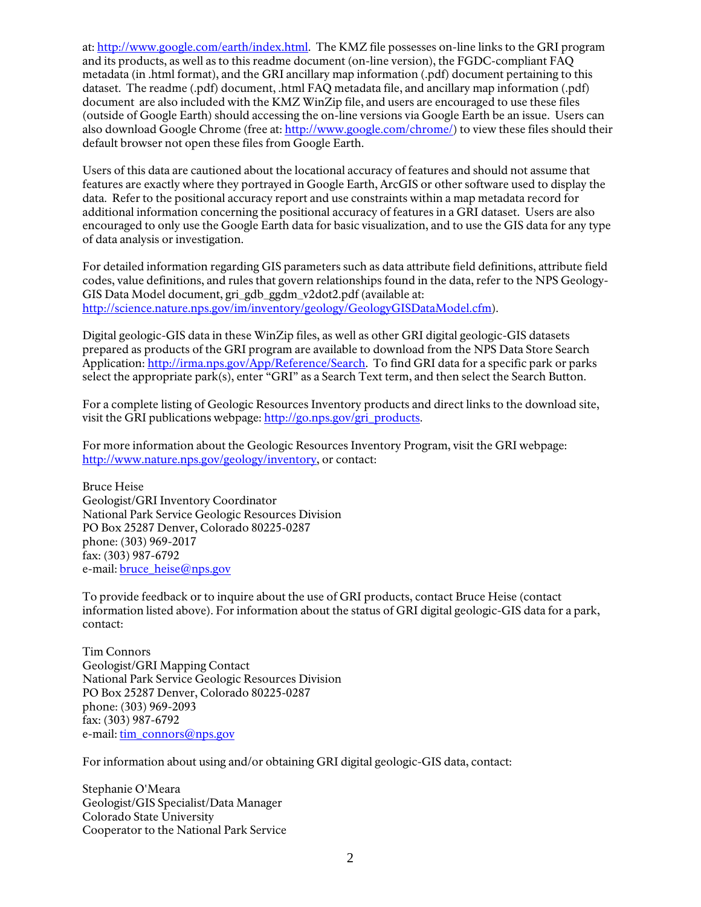at: http://www.google.com/earth/index.html. The KMZ file possesses on-line links to the GRI program and its products, as well as to this readme document (on-line version), the FGDC-compliant FAQ metadata (in .html format), and the GRI ancillary map information (.pdf) document pertaining to this dataset. The readme (.pdf) document, .html FAQ metadata file, and ancillary map information (.pdf) document are also included with the KMZ WinZip file, and users are encouraged to use these files (outside of Google Earth) should accessing the on-line versions via Google Earth be an issue. Users can also download Google Chrome (free at: http://www.google.com/chrome/) to view these files should their default browser not open these files from Google Earth.

Users of this data are cautioned about the locational accuracy of features and should not assume that features are exactly where they portrayed in Google Earth, ArcGIS or other software used to display the data. Refer to the positional accuracy report and use constraints within a map metadata record for additional information concerning the positional accuracy of features in a GRI dataset. Users are also encouraged to only use the Google Earth data for basic visualization, and to use the GIS data for any type of data analysis or investigation.

For detailed information regarding GIS parameters such as data attribute field definitions, attribute field codes, value definitions, and rules that govern relationships found in the data, refer to the NPS Geology-GIS Data Model document, gri\_gdb\_ggdm\_v2dot2.pdf (available at: http://science.nature.nps.gov/im/inventory/geology/GeologyGISDataModel.cfm).

Digital geologic-GIS data in these WinZip files, as well as other GRI digital geologic-GIS datasets prepared as products of the GRI program are available to download from the NPS Data Store Search Application: http://irma.nps.gov/App/Reference/Search. To find GRI data for a specific park or parks select the appropriate park(s), enter "GRI" as a Search Text term, and then select the Search Button.

For a complete listing of Geologic Resources Inventory products and direct links to the download site, visit the GRI publications webpage: http://go.nps.gov/gri\_products.

For more information about the Geologic Resources Inventory Program, visit the GRI webpage: http://www.nature.nps.gov/geology/inventory, or contact:

Bruce Heise Geologist/GRI Inventory Coordinator National Park Service Geologic Resources Division PO Box 25287 Denver, Colorado 80225-0287 phone: (303) 969-2017 fax: (303) 987-6792 e-mail: **bruce** heise@nps.gov

To provide feedback or to inquire about the use of GRI products, contact Bruce Heise (contact information listed above). For information about the status of GRI digital geologic-GIS data for a park, contact:

Tim Connors Geologist/GRI Mapping Contact National Park Service Geologic Resources Division PO Box 25287 Denver, Colorado 80225-0287 phone: (303) 969-2093 fax: (303) 987-6792 e-mail: tim\_connors@nps.gov

For information about using and/or obtaining GRI digital geologic-GIS data, contact:

Stephanie O'Meara Geologist/GIS Specialist/Data Manager Colorado State University Cooperator to the National Park Service